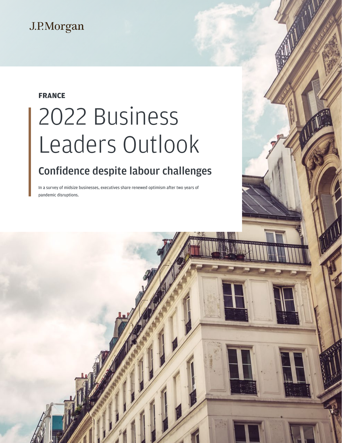## J.P.Morgan

### **FRANCE**

# 2022 Business Leaders Outlook

## Confidence despite labour challenges

In a survey of midsize businesses, executives share renewed optimism after two years of pandemic disruptions.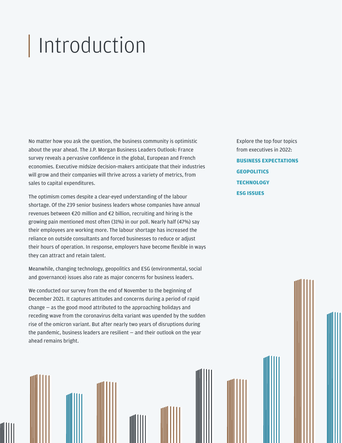## Introduction

No matter how you ask the question, the business community is optimistic about the year ahead. The J.P. Morgan Business Leaders Outlook: France survey reveals a pervasive confidence in the global, European and French economies. Executive midsize decision-makers anticipate that their industries will grow and their companies will thrive across a variety of metrics, from sales to capital expenditures.

The optimism comes despite a clear-eyed understanding of the labour shortage. Of the 239 senior business leaders whose companies have annual revenues between €20 million and €2 billion, recruiting and hiring is the growing pain mentioned most often (31%) in our poll. Nearly half (47%) say their employees are working more. The labour shortage has increased the reliance on outside consultants and forced businesses to reduce or adjust their hours of operation. In response, employers have become flexible in ways they can attract and retain talent.

Meanwhile, changing technology, geopolitics and ESG (environmental, social and governance) issues also rate as major concerns for business leaders.

We conducted our survey from the end of November to the beginning of December 2021. It captures attitudes and concerns during a period of rapid change — as the good mood attributed to the approaching holidays and receding wave from the coronavirus delta variant was upended by the sudden rise of the omicron variant. But after nearly two years of disruptions during the pandemic, business leaders are resilient — and their outlook on the year ahead remains bright.

Explore the top four topics from executives in 2022: **[BUSINESS EXPECTATIONS](#page-3-0) [GEOPOLITICS](#page-7-0) [TECHNOLOGY](#page-9-0) [ESG ISSUES](#page-11-0)**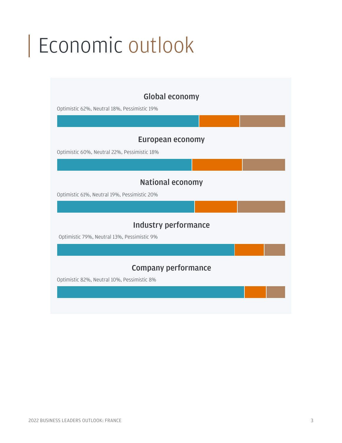## Economic outlook

## Global economy

Optimistic 62%, Neutral 18%, Pessimistic 19%

### European economy

Optimistic 60%, Neutral 22%, Pessimistic 18%

### National economy

Optimistic 61%, Neutral 19%, Pessimistic 20%

### Industry performance

Optimistic 79%, Neutral 13%, Pessimistic 9%

## Company performance

Optimistic 82%, Neutral 10%, Pessimistic 8%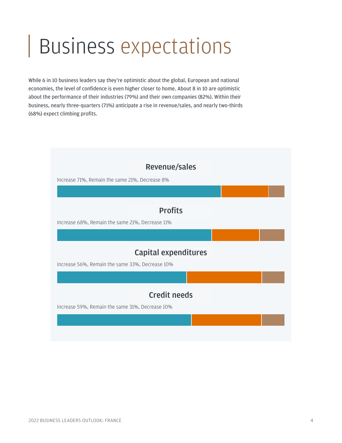## <span id="page-3-0"></span>Business expectations

While 6 in 10 business leaders say they're optimistic about the global, European and national economies, the level of confidence is even higher closer to home. About 8 in 10 are optimistic about the performance of their industries (79%) and their own companies (82%). Within their business, nearly three-quarters (71%) anticipate a rise in revenue/sales, and nearly two-thirds (68%) expect climbing profits.

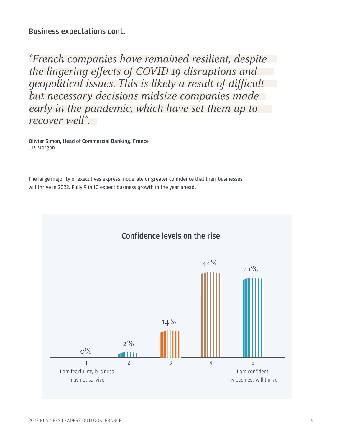Business expectations cont.

"French companies have remained resilient, despite the lingering effects of COVID-19 disruptions and geopolitical issues. This is likely a result of difficult but necessary decisions midsize companies made early in the pandemic, which have set them up to recover well".

Olivier Simon, Head of Commercial Banking, France J.P. Morgan

The large majority of executives express moderate or greater confidence that their businesses will thrive in 2022. Fully 9 in 10 expect business growth in the year ahead.

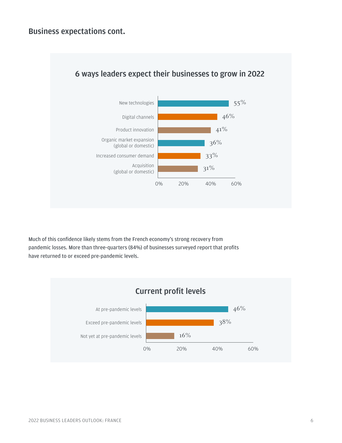

### 6 ways leaders expect their businesses to grow in 2022

Much of this confidence likely stems from the French economy's strong recovery from pandemic losses. More than three-quarters (84%) of businesses surveyed report that profits have returned to or exceed pre-pandemic levels.

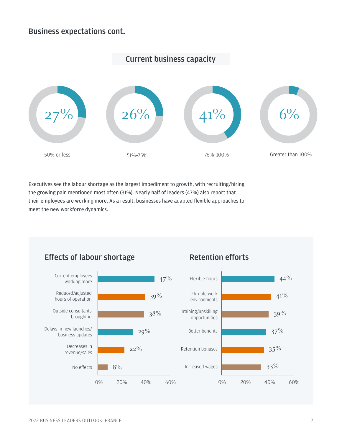### Business expectations cont.



Executives see the labour shortage as the largest impediment to growth, with recruiting/hiring the growing pain mentioned most often (31%). Nearly half of leaders (47%) also report that their employees are working more. As a result, businesses have adapted flexible approaches to meet the new workforce dynamics.

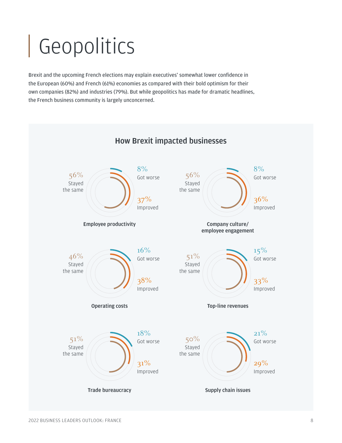# <span id="page-7-0"></span>Geopolitics

Brexit and the upcoming French elections may explain executives' somewhat lower confidence in the European (60%) and French (61%) economies as compared with their bold optimism for their own companies (82%) and industries (79%). But while geopolitics has made for dramatic headlines, the French business community is largely unconcerned.



## How Brexit impacted businesses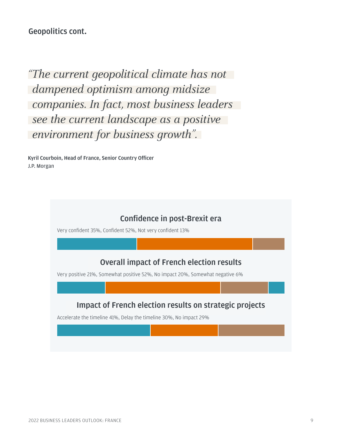Geopolitics cont.

" The current geopolitical climate has not dampened optimism among midsize companies. In fact, most business leaders see the current landscape as a positive environment for business growth".

Kyril Courboin, Head of France, Senior Country Officer J.P. Morgan

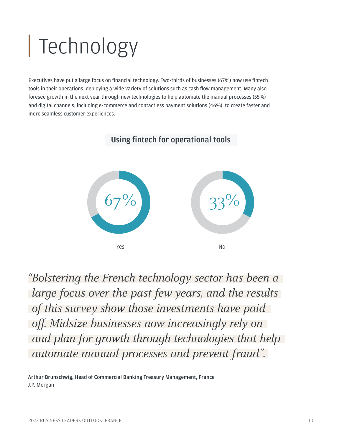# <span id="page-9-0"></span>Technology

Executives have put a large focus on financial technology. Two-thirds of businesses (67%) now use fintech tools in their operations, deploying a wide variety of solutions such as cash flow management. Many also foresee growth in the next year through new technologies to help automate the manual processes (55%) and digital channels, including e-commerce and contactless payment solutions (46%), to create faster and more seamless customer experiences.

## Using fintech for operational tools



" Bolstering the French technology sector has been a large focus over the past few years, and the results of this survey show those investments have paid off. Midsize businesses now increasingly rely on and plan for growth through technologies that help automate manual processes and prevent fraud".

Arthur Brunschwig, Head of Commercial Banking Treasury Management, France J.P. Morgan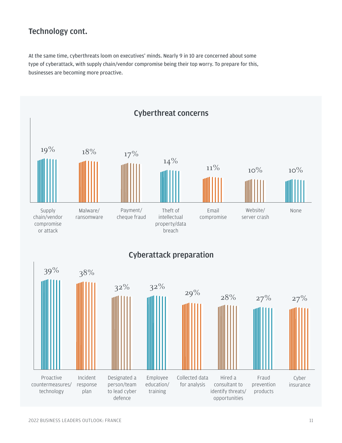### Technology cont.

At the same time, cyberthreats loom on executives' minds. Nearly 9 in 10 are concerned about some type of cyberattack, with supply chain/vendor compromise being their top worry. To prepare for this, businesses are becoming more proactive.

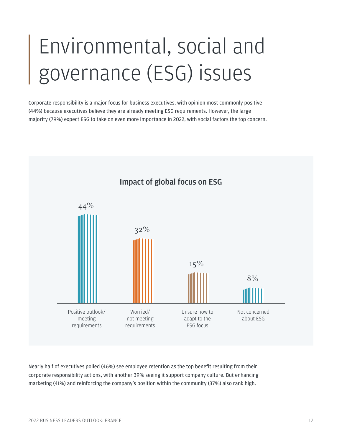## <span id="page-11-0"></span>Environmental, social and governance (ESG) issues

Corporate responsibility is a major focus for business executives, with opinion most commonly positive (44%) because executives believe they are already meeting ESG requirements. However, the large majority (79%) expect ESG to take on even more importance in 2022, with social factors the top concern.



### Impact of global focus on ESG

Nearly half of executives polled (46%) see employee retention as the top benefit resulting from their corporate responsibility actions, with another 39% seeing it support company culture. But enhancing marketing (41%) and reinforcing the company's position within the community (37%) also rank high.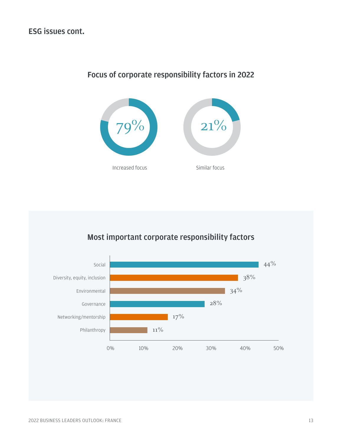## Focus of corporate responsibility factors in 2022



## Most important corporate responsibility factors

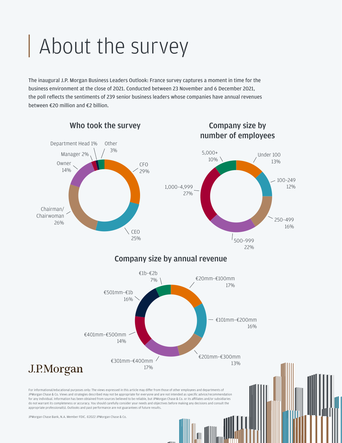## About the survey

The inaugural J.P. Morgan Business Leaders Outlook: France survey captures a moment in time for the business environment at the close of 2021. Conducted between 23 November and 6 December 2021, the poll reflects the sentiments of 239 senior business leaders whose companies have annual revenues between €20 million and €2 billion.